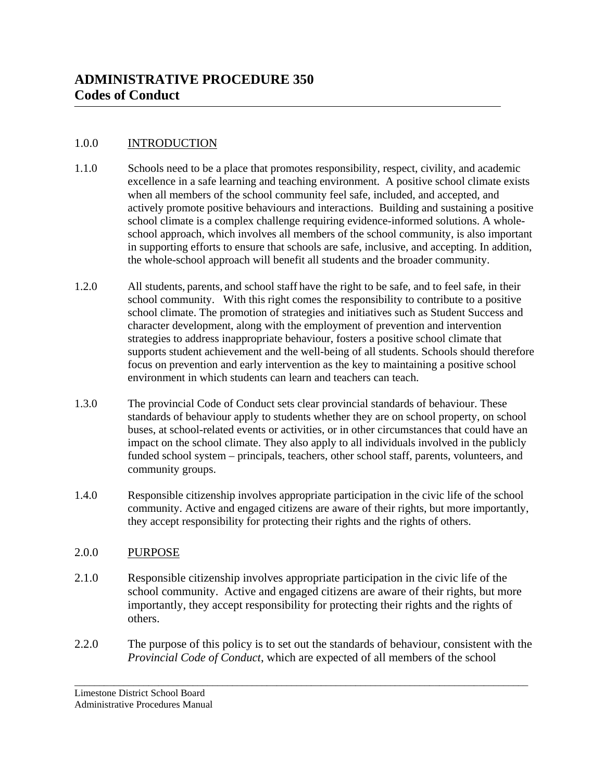#### 1.0.0 INTRODUCTION

- 1.1.0 Schools need to be a place that promotes responsibility, respect, civility, and academic excellence in a safe learning and teaching environment. A positive school climate exists when all members of the school community feel safe, included, and accepted, and actively promote positive behaviours and interactions. Building and sustaining a positive school climate is a complex challenge requiring evidence-informed solutions. A wholeschool approach, which involves all members of the school community, is also important in supporting efforts to ensure that schools are safe, inclusive, and accepting. In addition, the whole-school approach will benefit all students and the broader community.
- 1.2.0 All students, parents, and school staff have the right to be safe, and to feel safe, in their school community. With this right comes the responsibility to contribute to a positive school climate. The promotion of strategies and initiatives such as Student Success and character development, along with the employment of prevention and intervention strategies to address inappropriate behaviour, fosters a positive school climate that supports student achievement and the well-being of all students. Schools should therefore focus on prevention and early intervention as the key to maintaining a positive school environment in which students can learn and teachers can teach.
- 1.3.0 The provincial Code of Conduct sets clear provincial standards of behaviour. These standards of behaviour apply to students whether they are on school property, on school buses, at school-related events or activities, or in other circumstances that could have an impact on the school climate. They also apply to all individuals involved in the publicly funded school system – principals, teachers, other school staff, parents, volunteers, and community groups.
- 1.4.0 Responsible citizenship involves appropriate participation in the civic life of the school community. Active and engaged citizens are aware of their rights, but more importantly, they accept responsibility for protecting their rights and the rights of others.

### 2.0.0 PURPOSE

- 2.1.0 Responsible citizenship involves appropriate participation in the civic life of the school community. Active and engaged citizens are aware of their rights, but more importantly, they accept responsibility for protecting their rights and the rights of others.
- 2.2.0 The purpose of this policy is to set out the standards of behaviour, consistent with the *Provincial Code of Conduct*, which are expected of all members of the school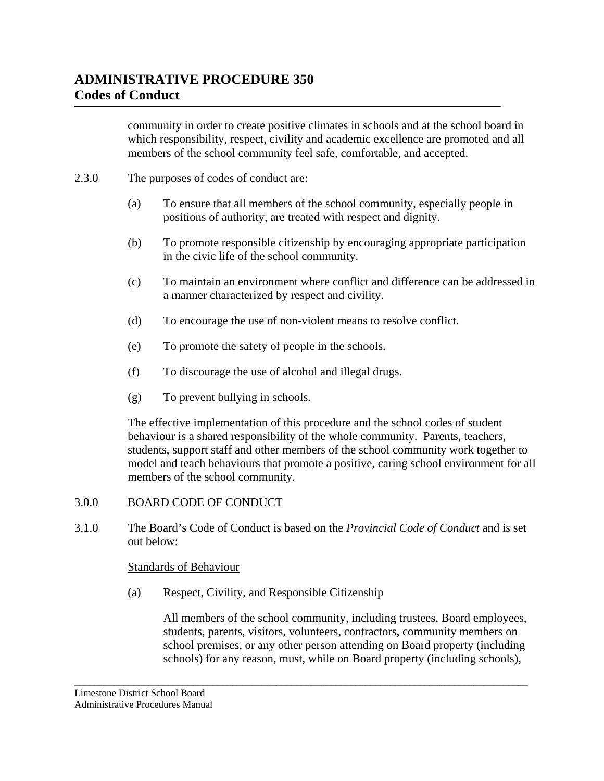community in order to create positive climates in schools and at the school board in which responsibility, respect, civility and academic excellence are promoted and all members of the school community feel safe, comfortable, and accepted.

- 2.3.0 The purposes of codes of conduct are:
	- (a) To ensure that all members of the school community, especially people in positions of authority, are treated with respect and dignity.
	- (b) To promote responsible citizenship by encouraging appropriate participation in the civic life of the school community.
	- (c) To maintain an environment where conflict and difference can be addressed in a manner characterized by respect and civility.
	- (d) To encourage the use of non-violent means to resolve conflict.
	- (e) To promote the safety of people in the schools.
	- (f) To discourage the use of alcohol and illegal drugs.
	- (g) To prevent bullying in schools.

 The effective implementation of this procedure and the school codes of student behaviour is a shared responsibility of the whole community. Parents, teachers, students, support staff and other members of the school community work together to model and teach behaviours that promote a positive, caring school environment for all members of the school community.

#### 3.0.0 BOARD CODE OF CONDUCT

3.1.0 The Board's Code of Conduct is based on the *Provincial Code of Conduct* and is set out below:

\_\_\_\_\_\_\_\_\_\_\_\_\_\_\_\_\_\_\_\_\_\_\_\_\_\_\_\_\_\_\_\_\_\_\_\_\_\_\_\_\_\_\_\_\_\_\_\_\_\_\_\_\_\_\_\_\_\_\_\_\_\_\_\_\_\_\_\_\_\_\_\_\_\_\_\_\_\_\_\_\_\_\_\_\_\_\_\_\_\_\_\_

#### Standards of Behaviour

(a) Respect, Civility, and Responsible Citizenship

All members of the school community, including trustees, Board employees, students, parents, visitors, volunteers, contractors, community members on school premises, or any other person attending on Board property (including schools) for any reason, must, while on Board property (including schools),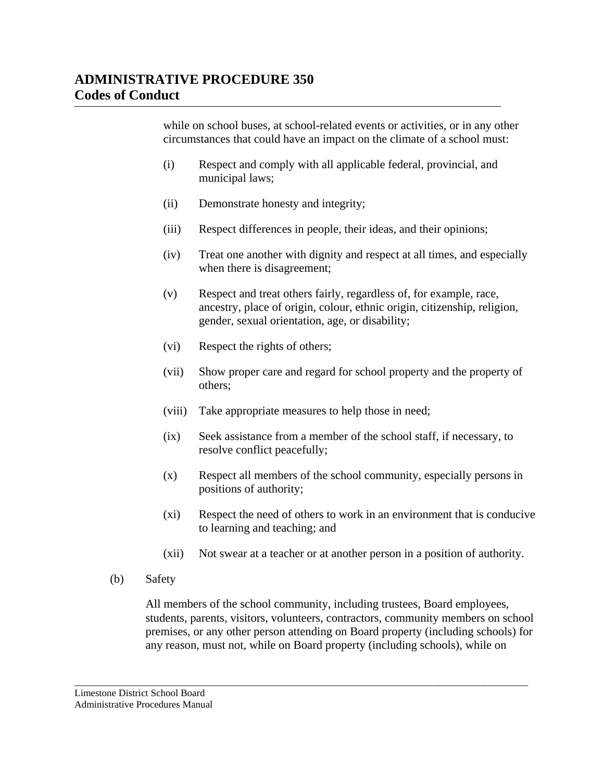while on school buses, at school-related events or activities, or in any other circumstances that could have an impact on the climate of a school must:

- (i) Respect and comply with all applicable federal, provincial, and municipal laws;
- (ii) Demonstrate honesty and integrity;
- (iii) Respect differences in people, their ideas, and their opinions;
- (iv) Treat one another with dignity and respect at all times, and especially when there is disagreement;
- (v) Respect and treat others fairly, regardless of, for example, race, ancestry, place of origin, colour, ethnic origin, citizenship, religion, gender, sexual orientation, age, or disability;
- (vi) Respect the rights of others;
- (vii) Show proper care and regard for school property and the property of others;
- (viii) Take appropriate measures to help those in need;
- (ix) Seek assistance from a member of the school staff, if necessary, to resolve conflict peacefully;
- (x) Respect all members of the school community, especially persons in positions of authority;
- (xi) Respect the need of others to work in an environment that is conducive to learning and teaching; and
- (xii) Not swear at a teacher or at another person in a position of authority.
- (b) Safety

All members of the school community, including trustees, Board employees, students, parents, visitors, volunteers, contractors, community members on school premises, or any other person attending on Board property (including schools) for any reason, must not, while on Board property (including schools), while on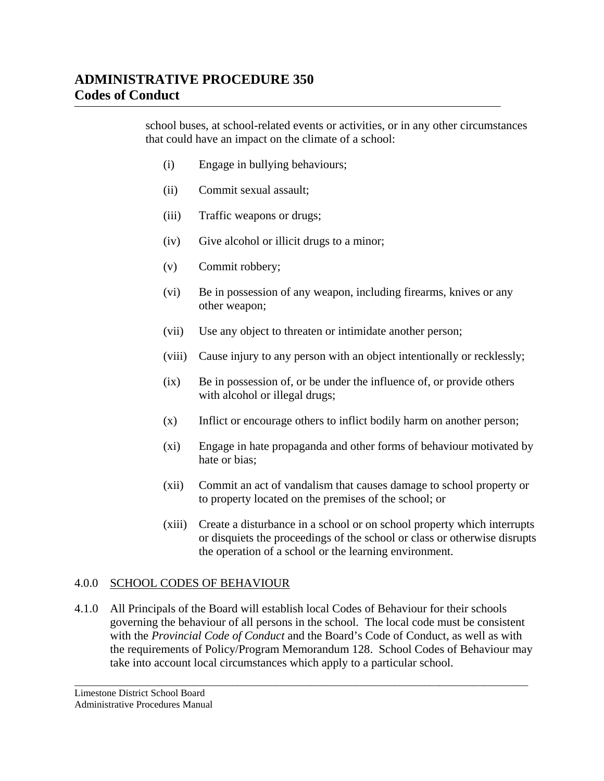school buses, at school-related events or activities, or in any other circumstances that could have an impact on the climate of a school:

- (i) Engage in bullying behaviours;
- (ii) Commit sexual assault;
- (iii) Traffic weapons or drugs;
- (iv) Give alcohol or illicit drugs to a minor;
- (v) Commit robbery;
- (vi) Be in possession of any weapon, including firearms, knives or any other weapon;
- (vii) Use any object to threaten or intimidate another person;
- (viii) Cause injury to any person with an object intentionally or recklessly;
- (ix) Be in possession of, or be under the influence of, or provide others with alcohol or illegal drugs;
- (x) Inflict or encourage others to inflict bodily harm on another person;
- (xi) Engage in hate propaganda and other forms of behaviour motivated by hate or bias;
- (xii) Commit an act of vandalism that causes damage to school property or to property located on the premises of the school; or
- (xiii) Create a disturbance in a school or on school property which interrupts or disquiets the proceedings of the school or class or otherwise disrupts the operation of a school or the learning environment.

#### 4.0.0 SCHOOL CODES OF BEHAVIOUR

4.1.0 All Principals of the Board will establish local Codes of Behaviour for their schools governing the behaviour of all persons in the school. The local code must be consistent with the *Provincial Code of Conduct* and the Board's Code of Conduct, as well as with the requirements of Policy/Program Memorandum 128. School Codes of Behaviour may take into account local circumstances which apply to a particular school.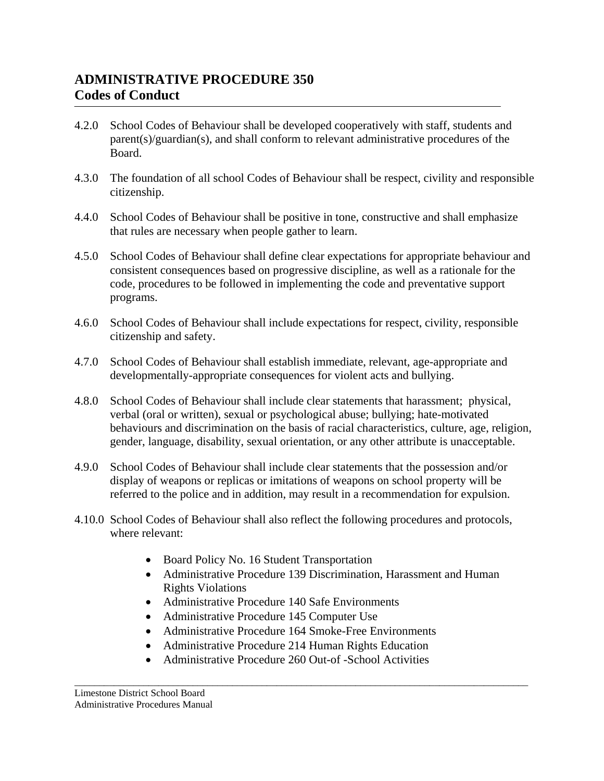- 4.2.0 School Codes of Behaviour shall be developed cooperatively with staff, students and parent(s)/guardian(s), and shall conform to relevant administrative procedures of the Board.
- 4.3.0 The foundation of all school Codes of Behaviour shall be respect, civility and responsible citizenship.
- 4.4.0 School Codes of Behaviour shall be positive in tone, constructive and shall emphasize that rules are necessary when people gather to learn.
- 4.5.0 School Codes of Behaviour shall define clear expectations for appropriate behaviour and consistent consequences based on progressive discipline, as well as a rationale for the code, procedures to be followed in implementing the code and preventative support programs.
- 4.6.0 School Codes of Behaviour shall include expectations for respect, civility, responsible citizenship and safety.
- 4.7.0 School Codes of Behaviour shall establish immediate, relevant, age-appropriate and developmentally-appropriate consequences for violent acts and bullying.
- 4.8.0 School Codes of Behaviour shall include clear statements that harassment; physical, verbal (oral or written), sexual or psychological abuse; bullying; hate-motivated behaviours and discrimination on the basis of racial characteristics, culture, age, religion, gender, language, disability, sexual orientation, or any other attribute is unacceptable.
- 4.9.0 School Codes of Behaviour shall include clear statements that the possession and/or display of weapons or replicas or imitations of weapons on school property will be referred to the police and in addition, may result in a recommendation for expulsion.
- 4.10.0 School Codes of Behaviour shall also reflect the following procedures and protocols, where relevant:
	- Board Policy No. 16 Student Transportation
	- Administrative Procedure 139 Discrimination, Harassment and Human Rights Violations
	- Administrative Procedure 140 Safe Environments
	- Administrative Procedure 145 Computer Use
	- Administrative Procedure 164 Smoke-Free Environments

- Administrative Procedure 214 Human Rights Education
- Administrative Procedure 260 Out-of -School Activities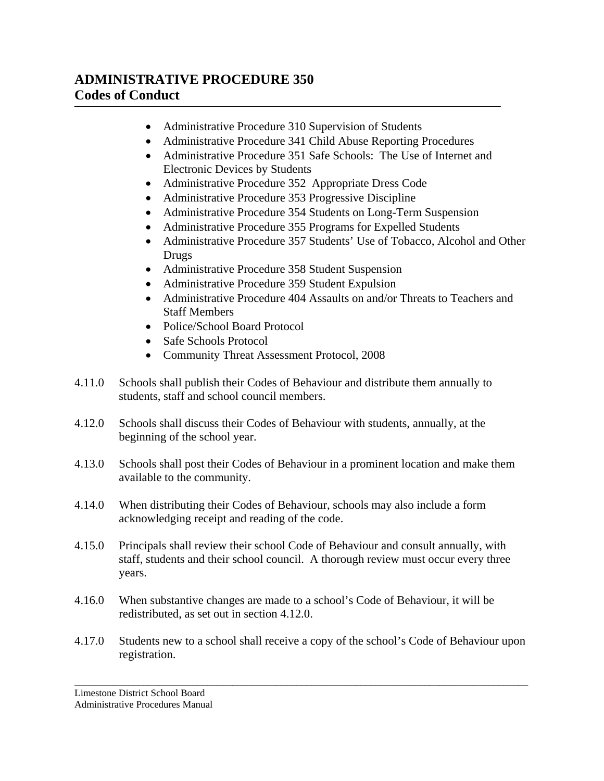- Administrative Procedure 310 Supervision of Students
- Administrative Procedure 341 Child Abuse Reporting Procedures
- Administrative Procedure 351 Safe Schools: The Use of Internet and Electronic Devices by Students
- Administrative Procedure 352 Appropriate Dress Code
- Administrative Procedure 353 Progressive Discipline
- Administrative Procedure 354 Students on Long-Term Suspension
- Administrative Procedure 355 Programs for Expelled Students
- Administrative Procedure 357 Students' Use of Tobacco, Alcohol and Other Drugs
- Administrative Procedure 358 Student Suspension
- Administrative Procedure 359 Student Expulsion
- Administrative Procedure 404 Assaults on and/or Threats to Teachers and Staff Members
- Police/School Board Protocol
- Safe Schools Protocol
- Community Threat Assessment Protocol, 2008
- 4.11.0 Schools shall publish their Codes of Behaviour and distribute them annually to students, staff and school council members.
- 4.12.0 Schools shall discuss their Codes of Behaviour with students, annually, at the beginning of the school year.
- 4.13.0 Schools shall post their Codes of Behaviour in a prominent location and make them available to the community.
- 4.14.0 When distributing their Codes of Behaviour, schools may also include a form acknowledging receipt and reading of the code.
- 4.15.0 Principals shall review their school Code of Behaviour and consult annually, with staff, students and their school council. A thorough review must occur every three years.
- 4.16.0 When substantive changes are made to a school's Code of Behaviour, it will be redistributed, as set out in section 4.12.0.
- 4.17.0 Students new to a school shall receive a copy of the school's Code of Behaviour upon registration.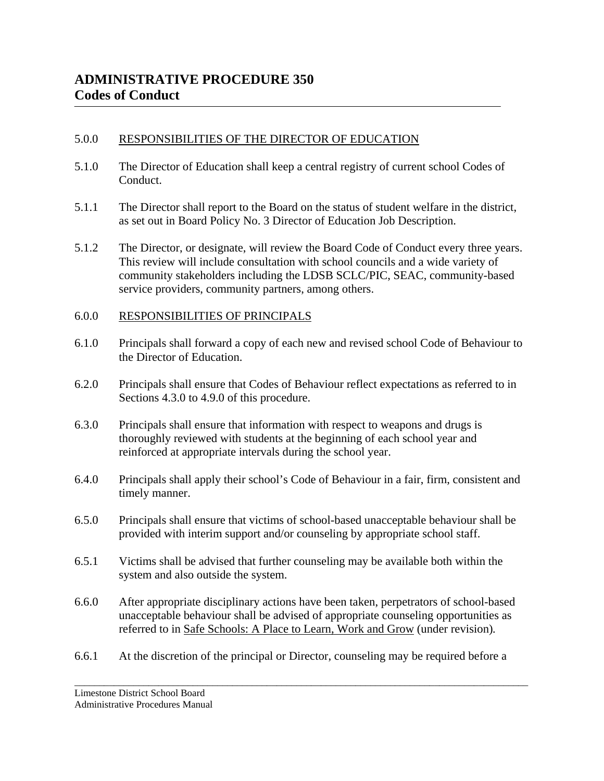### 5.0.0 RESPONSIBILITIES OF THE DIRECTOR OF EDUCATION

- 5.1.0 The Director of Education shall keep a central registry of current school Codes of Conduct.
- 5.1.1 The Director shall report to the Board on the status of student welfare in the district, as set out in Board Policy No. 3 Director of Education Job Description.
- 5.1.2 The Director, or designate, will review the Board Code of Conduct every three years. This review will include consultation with school councils and a wide variety of community stakeholders including the LDSB SCLC/PIC, SEAC, community-based service providers, community partners, among others.

### 6.0.0 RESPONSIBILITIES OF PRINCIPALS

- 6.1.0 Principals shall forward a copy of each new and revised school Code of Behaviour to the Director of Education.
- 6.2.0 Principals shall ensure that Codes of Behaviour reflect expectations as referred to in Sections 4.3.0 to 4.9.0 of this procedure.
- 6.3.0 Principals shall ensure that information with respect to weapons and drugs is thoroughly reviewed with students at the beginning of each school year and reinforced at appropriate intervals during the school year.
- 6.4.0 Principals shall apply their school's Code of Behaviour in a fair, firm, consistent and timely manner.
- 6.5.0 Principals shall ensure that victims of school-based unacceptable behaviour shall be provided with interim support and/or counseling by appropriate school staff.
- 6.5.1 Victims shall be advised that further counseling may be available both within the system and also outside the system.
- 6.6.0 After appropriate disciplinary actions have been taken, perpetrators of school-based unacceptable behaviour shall be advised of appropriate counseling opportunities as referred to in Safe Schools: A Place to Learn, Work and Grow (under revision)*.*
- 6.6.1 At the discretion of the principal or Director, counseling may be required before a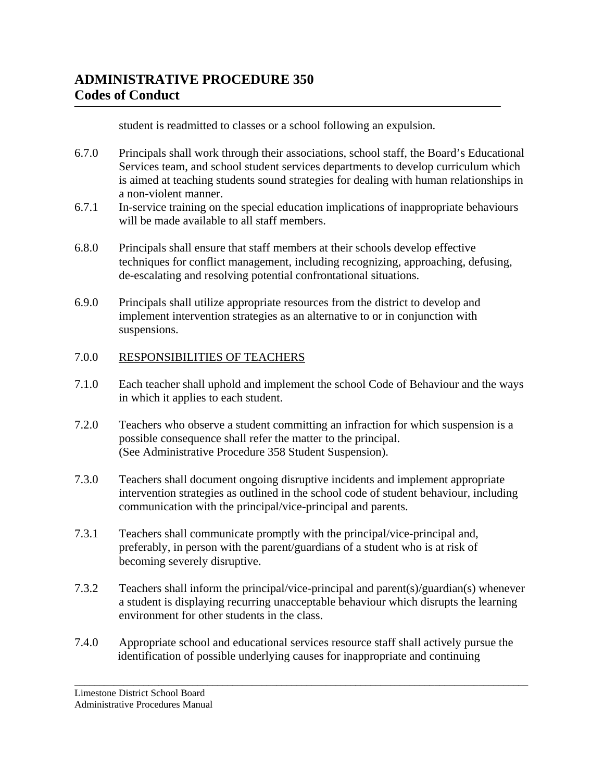student is readmitted to classes or a school following an expulsion.

- 6.7.0 Principals shall work through their associations, school staff, the Board's Educational Services team, and school student services departments to develop curriculum which is aimed at teaching students sound strategies for dealing with human relationships in a non-violent manner.
- 6.7.1 In-service training on the special education implications of inappropriate behaviours will be made available to all staff members.
- 6.8.0 Principals shall ensure that staff members at their schools develop effective techniques for conflict management, including recognizing, approaching, defusing, de-escalating and resolving potential confrontational situations.
- 6.9.0 Principals shall utilize appropriate resources from the district to develop and implement intervention strategies as an alternative to or in conjunction with suspensions.

### 7.0.0 RESPONSIBILITIES OF TEACHERS

- 7.1.0 Each teacher shall uphold and implement the school Code of Behaviour and the ways in which it applies to each student.
- 7.2.0 Teachers who observe a student committing an infraction for which suspension is a possible consequence shall refer the matter to the principal. (See Administrative Procedure 358 Student Suspension).
- 7.3.0 Teachers shall document ongoing disruptive incidents and implement appropriate intervention strategies as outlined in the school code of student behaviour, including communication with the principal/vice-principal and parents.
- 7.3.1 Teachers shall communicate promptly with the principal/vice-principal and, preferably, in person with the parent/guardians of a student who is at risk of becoming severely disruptive.
- 7.3.2 Teachers shall inform the principal/vice-principal and parent(s)/guardian(s) whenever a student is displaying recurring unacceptable behaviour which disrupts the learning environment for other students in the class.
- 7.4.0 Appropriate school and educational services resource staff shall actively pursue the identification of possible underlying causes for inappropriate and continuing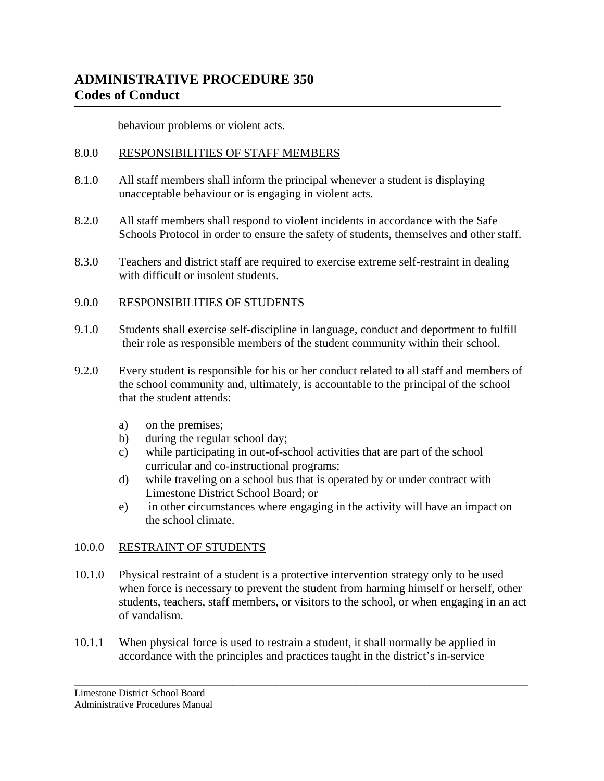behaviour problems or violent acts.

### 8.0.0 RESPONSIBILITIES OF STAFF MEMBERS

- 8.1.0 All staff members shall inform the principal whenever a student is displaying unacceptable behaviour or is engaging in violent acts.
- 8.2.0 All staff members shall respond to violent incidents in accordance with the Safe Schools Protocol in order to ensure the safety of students, themselves and other staff.
- 8.3.0 Teachers and district staff are required to exercise extreme self-restraint in dealing with difficult or insolent students.

### 9.0.0 RESPONSIBILITIES OF STUDENTS

- 9.1.0 Students shall exercise self-discipline in language, conduct and deportment to fulfill their role as responsible members of the student community within their school.
- 9.2.0 Every student is responsible for his or her conduct related to all staff and members of the school community and, ultimately, is accountable to the principal of the school that the student attends:
	- a) on the premises;
	- b) during the regular school day;
	- c) while participating in out-of-school activities that are part of the school curricular and co-instructional programs;
	- d) while traveling on a school bus that is operated by or under contract with Limestone District School Board; or
	- e) in other circumstances where engaging in the activity will have an impact on the school climate.

### 10.0.0 RESTRAINT OF STUDENTS

10.1.0 Physical restraint of a student is a protective intervention strategy only to be used when force is necessary to prevent the student from harming himself or herself, other students, teachers, staff members, or visitors to the school, or when engaging in an act of vandalism.

\_\_\_\_\_\_\_\_\_\_\_\_\_\_\_\_\_\_\_\_\_\_\_\_\_\_\_\_\_\_\_\_\_\_\_\_\_\_\_\_\_\_\_\_\_\_\_\_\_\_\_\_\_\_\_\_\_\_\_\_\_\_\_\_\_\_\_\_\_\_\_\_\_\_\_\_\_\_\_\_\_\_\_\_\_\_\_\_\_\_\_\_

10.1.1 When physical force is used to restrain a student, it shall normally be applied in accordance with the principles and practices taught in the district's in-service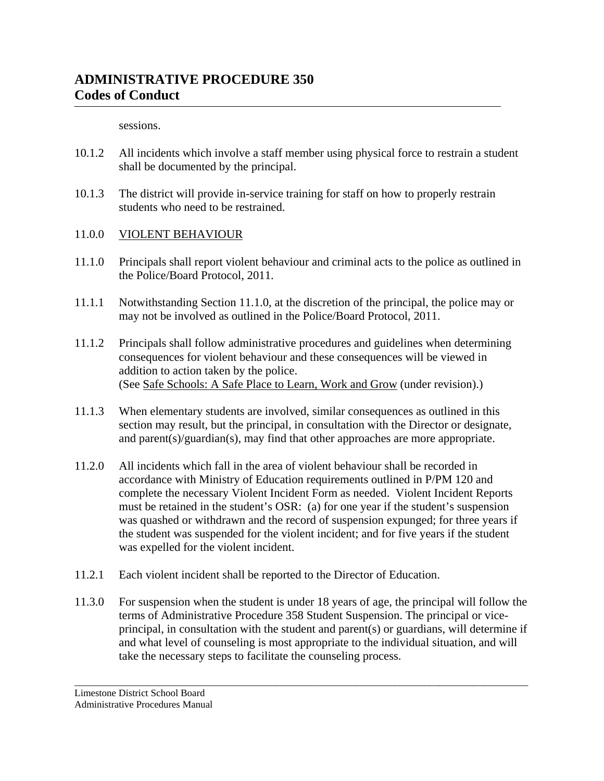sessions.

- 10.1.2 All incidents which involve a staff member using physical force to restrain a student shall be documented by the principal.
- 10.1.3 The district will provide in-service training for staff on how to properly restrain students who need to be restrained.
- 11.0.0 VIOLENT BEHAVIOUR
- 11.1.0 Principals shall report violent behaviour and criminal acts to the police as outlined in the Police/Board Protocol, 2011.
- 11.1.1 Notwithstanding Section 11.1.0, at the discretion of the principal, the police may or may not be involved as outlined in the Police/Board Protocol, 2011.
- 11.1.2 Principals shall follow administrative procedures and guidelines when determining consequences for violent behaviour and these consequences will be viewed in addition to action taken by the police. (See Safe Schools: A Safe Place to Learn, Work and Grow (under revision).)
- 11.1.3 When elementary students are involved, similar consequences as outlined in this section may result, but the principal, in consultation with the Director or designate, and parent(s)/guardian(s), may find that other approaches are more appropriate.
- 11.2.0 All incidents which fall in the area of violent behaviour shall be recorded in accordance with Ministry of Education requirements outlined in P/PM 120 and complete the necessary Violent Incident Form as needed. Violent Incident Reports must be retained in the student's OSR: (a) for one year if the student's suspension was quashed or withdrawn and the record of suspension expunged; for three years if the student was suspended for the violent incident; and for five years if the student was expelled for the violent incident.
- 11.2.1 Each violent incident shall be reported to the Director of Education.
- 11.3.0 For suspension when the student is under 18 years of age, the principal will follow the terms of Administrative Procedure 358 Student Suspension. The principal or viceprincipal, in consultation with the student and parent(s) or guardians, will determine if and what level of counseling is most appropriate to the individual situation, and will take the necessary steps to facilitate the counseling process.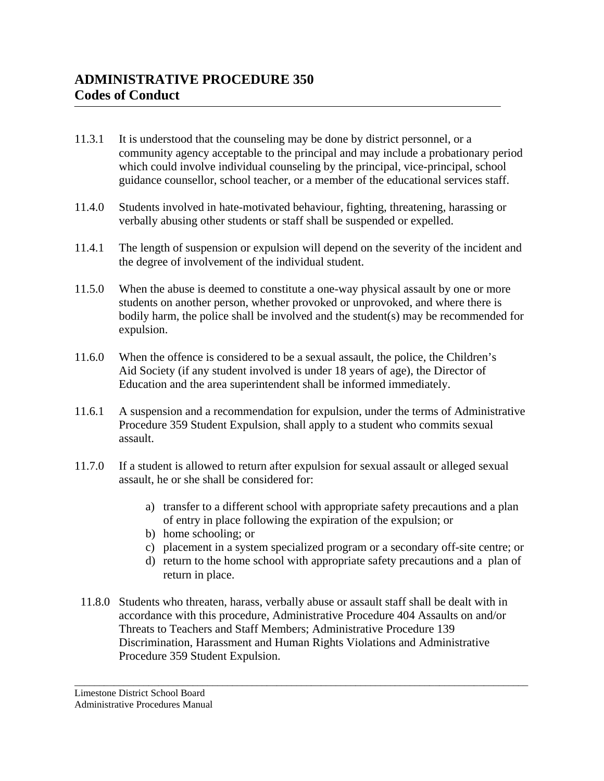- 11.3.1 It is understood that the counseling may be done by district personnel, or a community agency acceptable to the principal and may include a probationary period which could involve individual counseling by the principal, vice-principal, school guidance counsellor, school teacher, or a member of the educational services staff.
- 11.4.0 Students involved in hate-motivated behaviour, fighting, threatening, harassing or verbally abusing other students or staff shall be suspended or expelled.
- 11.4.1 The length of suspension or expulsion will depend on the severity of the incident and the degree of involvement of the individual student.
- 11.5.0 When the abuse is deemed to constitute a one-way physical assault by one or more students on another person, whether provoked or unprovoked, and where there is bodily harm, the police shall be involved and the student(s) may be recommended for expulsion.
- 11.6.0 When the offence is considered to be a sexual assault, the police, the Children's Aid Society (if any student involved is under 18 years of age), the Director of Education and the area superintendent shall be informed immediately.
- 11.6.1 A suspension and a recommendation for expulsion, under the terms of Administrative Procedure 359 Student Expulsion, shall apply to a student who commits sexual assault.
- 11.7.0 If a student is allowed to return after expulsion for sexual assault or alleged sexual assault, he or she shall be considered for:
	- a) transfer to a different school with appropriate safety precautions and a plan of entry in place following the expiration of the expulsion; or
	- b) home schooling; or
	- c) placement in a system specialized program or a secondary off-site centre; or
	- d) return to the home school with appropriate safety precautions and a plan of return in place.
	- 11.8.0 Students who threaten, harass, verbally abuse or assault staff shall be dealt with in accordance with this procedure, Administrative Procedure 404 Assaults on and/or Threats to Teachers and Staff Members; Administrative Procedure 139 Discrimination, Harassment and Human Rights Violations and Administrative Procedure 359 Student Expulsion.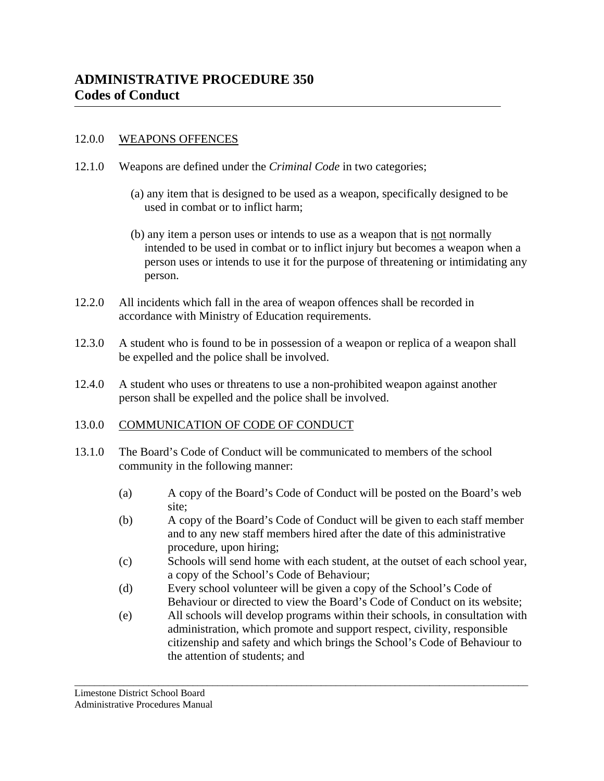#### 12.0.0 WEAPONS OFFENCES

- 12.1.0 Weapons are defined under the *Criminal Code* in two categories;
	- (a) any item that is designed to be used as a weapon, specifically designed to be used in combat or to inflict harm;
	- (b) any item a person uses or intends to use as a weapon that is not normally intended to be used in combat or to inflict injury but becomes a weapon when a person uses or intends to use it for the purpose of threatening or intimidating any person.
- 12.2.0 All incidents which fall in the area of weapon offences shall be recorded in accordance with Ministry of Education requirements.
- 12.3.0 A student who is found to be in possession of a weapon or replica of a weapon shall be expelled and the police shall be involved.
- 12.4.0 A student who uses or threatens to use a non-prohibited weapon against another person shall be expelled and the police shall be involved.

#### 13.0.0 COMMUNICATION OF CODE OF CONDUCT

- 13.1.0 The Board's Code of Conduct will be communicated to members of the school community in the following manner:
	- (a) A copy of the Board's Code of Conduct will be posted on the Board's web site;
	- (b) A copy of the Board's Code of Conduct will be given to each staff member and to any new staff members hired after the date of this administrative procedure, upon hiring;
	- (c) Schools will send home with each student, at the outset of each school year, a copy of the School's Code of Behaviour;
	- (d) Every school volunteer will be given a copy of the School's Code of Behaviour or directed to view the Board's Code of Conduct on its website;
	- (e) All schools will develop programs within their schools, in consultation with administration, which promote and support respect, civility, responsible citizenship and safety and which brings the School's Code of Behaviour to the attention of students; and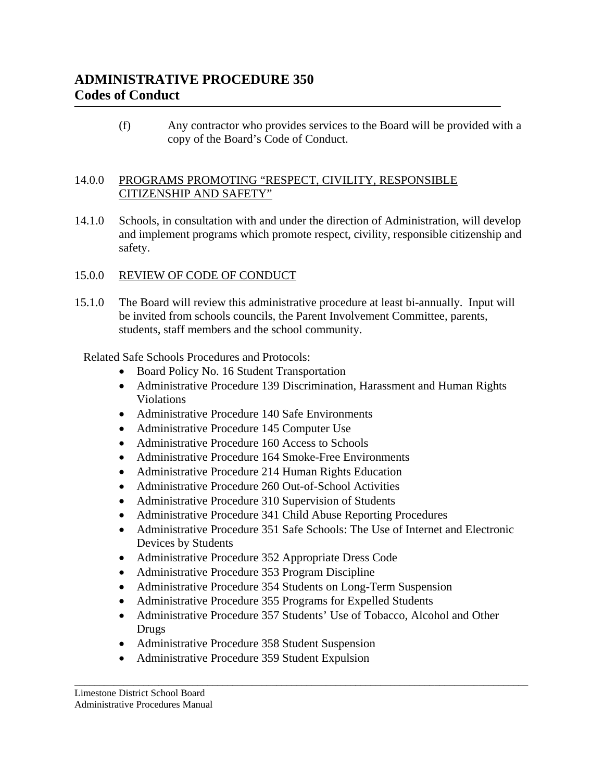(f) Any contractor who provides services to the Board will be provided with a copy of the Board's Code of Conduct.

### 14.0.0 PROGRAMS PROMOTING "RESPECT, CIVILITY, RESPONSIBLE CITIZENSHIP AND SAFETY"

- 14.1.0 Schools, in consultation with and under the direction of Administration, will develop and implement programs which promote respect, civility, responsible citizenship and safety.
- 15.0.0 REVIEW OF CODE OF CONDUCT
- 15.1.0 The Board will review this administrative procedure at least bi-annually. Input will be invited from schools councils, the Parent Involvement Committee, parents, students, staff members and the school community.

Related Safe Schools Procedures and Protocols:

- Board Policy No. 16 Student Transportation
- Administrative Procedure 139 Discrimination, Harassment and Human Rights Violations
- Administrative Procedure 140 Safe Environments
- Administrative Procedure 145 Computer Use
- Administrative Procedure 160 Access to Schools
- Administrative Procedure 164 Smoke-Free Environments
- Administrative Procedure 214 Human Rights Education
- Administrative Procedure 260 Out-of-School Activities
- Administrative Procedure 310 Supervision of Students
- Administrative Procedure 341 Child Abuse Reporting Procedures
- Administrative Procedure 351 Safe Schools: The Use of Internet and Electronic Devices by Students
- Administrative Procedure 352 Appropriate Dress Code
- Administrative Procedure 353 Program Discipline
- Administrative Procedure 354 Students on Long-Term Suspension
- Administrative Procedure 355 Programs for Expelled Students
- Administrative Procedure 357 Students' Use of Tobacco, Alcohol and Other Drugs

- Administrative Procedure 358 Student Suspension
- Administrative Procedure 359 Student Expulsion